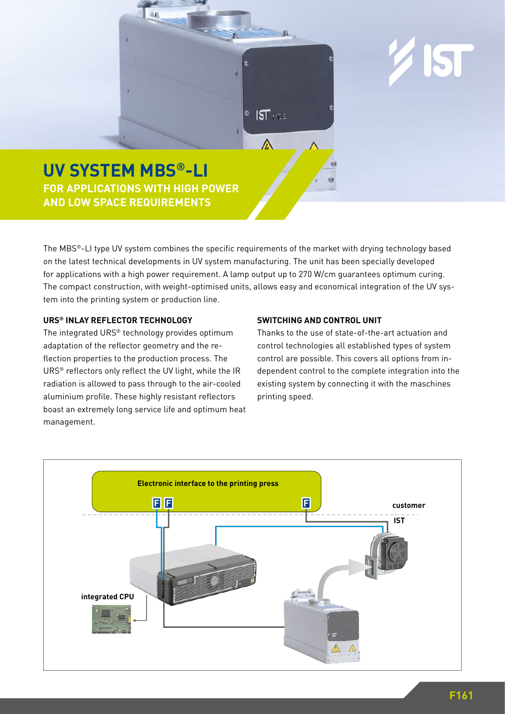

**AND LOW SPACE REQUIREMENTS** 

The MBS®-LI type UV system combines the specific requirements of the market with drying technology based on the latest technical developments in UV system manufacturing. The unit has been specially developed for applications with a high power requirement. A lamp output up to 270 W/cm guarantees optimum curing. The compact construction, with weight-optimised units, allows easy and economical integration of the UV system into the printing system or production line.

## **URS® INLAY REFLECTOR TECHNOLOGY**

The integrated URS® technology provides optimum adaptation of the reflector geometry and the reflection properties to the production process. The URS® reflectors only reflect the UV light, while the IR radiation is allowed to pass through to the air-cooled aluminium profile. These highly resistant reflectors boast an extremely long service life and optimum heat management.

## **SWITCHING AND CONTROL UNIT**

Thanks to the use of state-of-the-art actuation and control technologies all established types of system control are possible. This covers all options from independent control to the complete integration into the existing system by connecting it with the maschines printing speed.